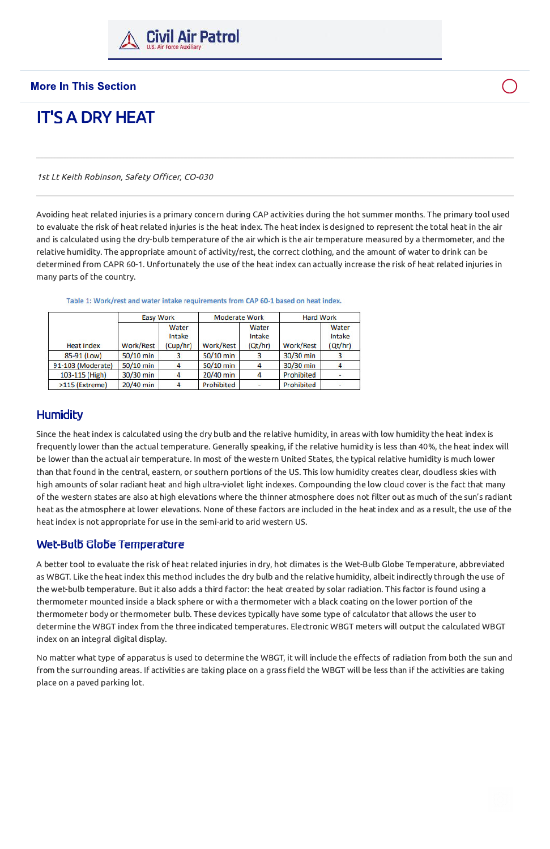

#### **More In This Section**

# **IT'S A DRY HEAT**

1st Lt Keith Robinson, Safety Officer, CO-030

Avoiding heat related injuries is a primary concern during CAP activities during the hot summer months. The primary tool used to evaluate the risk of heat related injuries is the heat index. The heat index is designed to represent the total heat in the air and is calculated using the dry-bulb temperature of the air which is the air temperature measured by a thermometer, and the relative humidity. The appropriate amount of activity/rest, the correct clothing, and the amount of water to drink can be determined from CAPR 60-1. Unfortunately the use of the heat index can actually increase the risk of heat related injuries in many parts of the country.

|                   | <b>Easy Work</b> |                             | <b>Moderate Work</b> |                            | <b>Hard Work</b> |                            |
|-------------------|------------------|-----------------------------|----------------------|----------------------------|------------------|----------------------------|
| <b>Heat Index</b> | Work/Rest        | Water<br>Intake<br>(Cup/hr) | Work/Rest            | Water<br>Intake<br>(Qt/hr) | Work/Rest        | Water<br>Intake<br>(Qt/hr) |
| 85-91 (Low)       | 50/10 min        |                             | 50/10 min            |                            | 30/30 min        |                            |
| 91-103 (Moderate) | 50/10 min        |                             | 50/10 min            |                            | 30/30 min        |                            |
| 103-115 (High)    | 30/30 min        |                             | 20/40 min            | 4                          | Prohibited       |                            |
| >115 (Extreme)    | 20/40 min        |                             | Prohibited           |                            | Prohibited       |                            |

Table 1: Work/rest and water intake requirements from CAP 60-1 based on heat index.

### **Humidity**

Since the heat index is calculated using the dry bulb and the relative humidity, in areas with low humidity the heat index is frequently lower than the actual temperature. Generally speaking, if the relative humidity is less than 40%, the heat index will be lower than the actual air temperature. In most of the western United States, the typical relative humidity is much lower than that found in the central, eastern, or southern portions of the US. This low humidity creates clear, cloudless skies with high amounts of solar radiant heat and high ultra-violet light indexes. Compounding the low cloud cover is the fact that many of the western states are also at high elevations where the thinner atmosphere does not filter out as much of the sun's radiant heat as the atmosphere at lower elevations. None of these factors are included in the heat index and as a result, the use of the heat index is not appropriate for use in the semi-arid to arid western US.

#### Wet-Bulb Globe Temperature

A better tool to evaluate the risk of heat related injuries in dry, hot climates is the Wet-Bulb Globe Temperature, abbreviated as WBGT. Like the heat index this method includes the dry bulb and the relative humidity, albeit indirectly through the use of the wet-bulb temperature. But it also adds a third factor: the heat created by solar radiation. This factor is found using a thermometer mounted inside a black sphere or with a thermometer with a black coating on the lower portion of the thermometer body or thermometer bulb. These devices typically have some type of calculator that allows the user to determine the WBGT index from the three indicated temperatures. Electronic WBGT meters will output the calculated WBGT index on an integral digital display.

No matter what type of apparatus is used to determine the WBGT, it will include the effects of radiation from both the sun and from the surrounding areas. If activities are taking place on a grass field the WBGT will be less than if the activities are taking place on a paved parking lot.